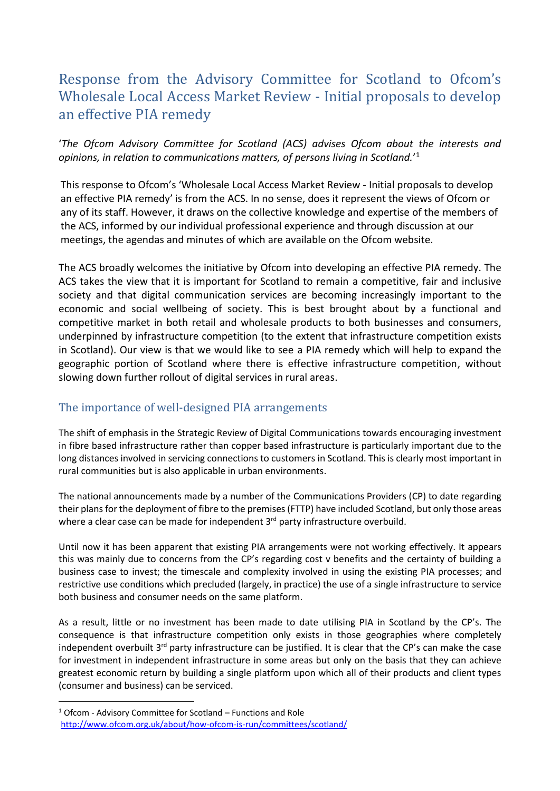## Response from the Advisory Committee for Scotland to Ofcom's Wholesale Local Access Market Review - Initial proposals to develop an effective PIA remedy

'*The Ofcom Advisory Committee for Scotland (ACS) advises Ofcom about the interests and opinions, in relation to communications matters, of persons living in Scotland.*' 1

This response to Ofcom's 'Wholesale Local Access Market Review - Initial proposals to develop an effective PIA remedy' is from the ACS. In no sense, does it represent the views of Ofcom or any of its staff. However, it draws on the collective knowledge and expertise of the members of the ACS, informed by our individual professional experience and through discussion at our meetings, the agendas and minutes of which are available on the Ofcom website.

The ACS broadly welcomes the initiative by Ofcom into developing an effective PIA remedy. The ACS takes the view that it is important for Scotland to remain a competitive, fair and inclusive society and that digital communication services are becoming increasingly important to the economic and social wellbeing of society. This is best brought about by a functional and competitive market in both retail and wholesale products to both businesses and consumers, underpinned by infrastructure competition (to the extent that infrastructure competition exists in Scotland). Our view is that we would like to see a PIA remedy which will help to expand the geographic portion of Scotland where there is effective infrastructure competition, without slowing down further rollout of digital services in rural areas.

## The importance of well-designed PIA arrangements

The shift of emphasis in the Strategic Review of Digital Communications towards encouraging investment in fibre based infrastructure rather than copper based infrastructure is particularly important due to the long distances involved in servicing connections to customers in Scotland. This is clearly most important in rural communities but is also applicable in urban environments.

The national announcements made by a number of the Communications Providers (CP) to date regarding their plans for the deployment of fibre to the premises (FTTP) have included Scotland, but only those areas where a clear case can be made for independent 3<sup>rd</sup> party infrastructure overbuild.

Until now it has been apparent that existing PIA arrangements were not working effectively. It appears this was mainly due to concerns from the CP's regarding cost v benefits and the certainty of building a business case to invest; the timescale and complexity involved in using the existing PIA processes; and restrictive use conditions which precluded (largely, in practice) the use of a single infrastructure to service both business and consumer needs on the same platform.

As a result, little or no investment has been made to date utilising PIA in Scotland by the CP's. The consequence is that infrastructure competition only exists in those geographies where completely independent overbuilt 3<sup>rd</sup> party infrastructure can be justified. It is clear that the CP's can make the case for investment in independent infrastructure in some areas but only on the basis that they can achieve greatest economic return by building a single platform upon which all of their products and client types (consumer and business) can be serviced.

 $\overline{a}$ 

 $1$  Ofcom - Advisory Committee for Scotland – Functions and Role <http://www.ofcom.org.uk/about/how-ofcom-is-run/committees/scotland/>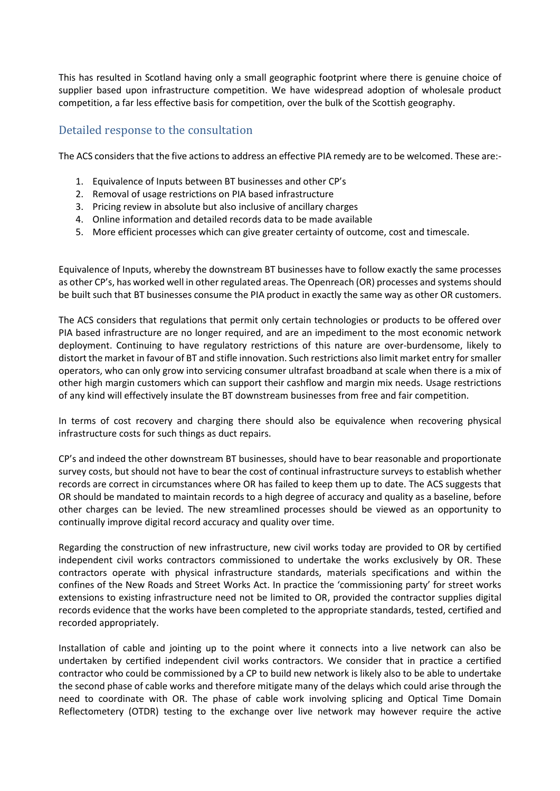This has resulted in Scotland having only a small geographic footprint where there is genuine choice of supplier based upon infrastructure competition. We have widespread adoption of wholesale product competition, a far less effective basis for competition, over the bulk of the Scottish geography.

## Detailed response to the consultation

The ACS considers that the five actions to address an effective PIA remedy are to be welcomed. These are:-

- 1. Equivalence of Inputs between BT businesses and other CP's
- 2. Removal of usage restrictions on PIA based infrastructure
- 3. Pricing review in absolute but also inclusive of ancillary charges
- 4. Online information and detailed records data to be made available
- 5. More efficient processes which can give greater certainty of outcome, cost and timescale.

Equivalence of Inputs, whereby the downstream BT businesses have to follow exactly the same processes as other CP's, has worked well in other regulated areas. The Openreach (OR) processes and systems should be built such that BT businesses consume the PIA product in exactly the same way as other OR customers.

The ACS considers that regulations that permit only certain technologies or products to be offered over PIA based infrastructure are no longer required, and are an impediment to the most economic network deployment. Continuing to have regulatory restrictions of this nature are over-burdensome, likely to distort the market in favour of BT and stifle innovation. Such restrictions also limit market entry for smaller operators, who can only grow into servicing consumer ultrafast broadband at scale when there is a mix of other high margin customers which can support their cashflow and margin mix needs. Usage restrictions of any kind will effectively insulate the BT downstream businesses from free and fair competition.

In terms of cost recovery and charging there should also be equivalence when recovering physical infrastructure costs for such things as duct repairs.

CP's and indeed the other downstream BT businesses, should have to bear reasonable and proportionate survey costs, but should not have to bear the cost of continual infrastructure surveys to establish whether records are correct in circumstances where OR has failed to keep them up to date. The ACS suggests that OR should be mandated to maintain records to a high degree of accuracy and quality as a baseline, before other charges can be levied. The new streamlined processes should be viewed as an opportunity to continually improve digital record accuracy and quality over time.

Regarding the construction of new infrastructure, new civil works today are provided to OR by certified independent civil works contractors commissioned to undertake the works exclusively by OR. These contractors operate with physical infrastructure standards, materials specifications and within the confines of the New Roads and Street Works Act. In practice the 'commissioning party' for street works extensions to existing infrastructure need not be limited to OR, provided the contractor supplies digital records evidence that the works have been completed to the appropriate standards, tested, certified and recorded appropriately.

Installation of cable and jointing up to the point where it connects into a live network can also be undertaken by certified independent civil works contractors. We consider that in practice a certified contractor who could be commissioned by a CP to build new network is likely also to be able to undertake the second phase of cable works and therefore mitigate many of the delays which could arise through the need to coordinate with OR. The phase of cable work involving splicing and Optical Time Domain Reflectometery (OTDR) testing to the exchange over live network may however require the active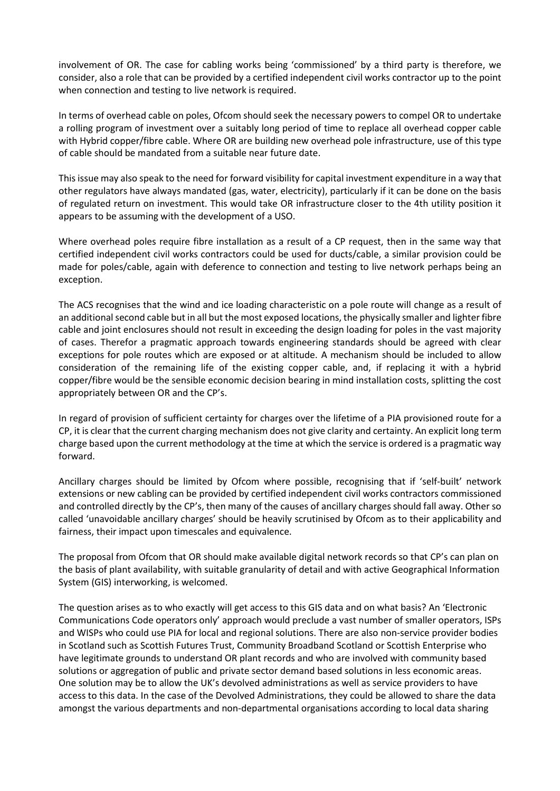involvement of OR. The case for cabling works being 'commissioned' by a third party is therefore, we consider, also a role that can be provided by a certified independent civil works contractor up to the point when connection and testing to live network is required.

In terms of overhead cable on poles, Ofcom should seek the necessary powers to compel OR to undertake a rolling program of investment over a suitably long period of time to replace all overhead copper cable with Hybrid copper/fibre cable. Where OR are building new overhead pole infrastructure, use of this type of cable should be mandated from a suitable near future date.

This issue may also speak to the need for forward visibility for capital investment expenditure in a way that other regulators have always mandated (gas, water, electricity), particularly if it can be done on the basis of regulated return on investment. This would take OR infrastructure closer to the 4th utility position it appears to be assuming with the development of a USO.

Where overhead poles require fibre installation as a result of a CP request, then in the same way that certified independent civil works contractors could be used for ducts/cable, a similar provision could be made for poles/cable, again with deference to connection and testing to live network perhaps being an exception.

The ACS recognises that the wind and ice loading characteristic on a pole route will change as a result of an additional second cable but in all but the most exposed locations, the physically smaller and lighterfibre cable and joint enclosures should not result in exceeding the design loading for poles in the vast majority of cases. Therefor a pragmatic approach towards engineering standards should be agreed with clear exceptions for pole routes which are exposed or at altitude. A mechanism should be included to allow consideration of the remaining life of the existing copper cable, and, if replacing it with a hybrid copper/fibre would be the sensible economic decision bearing in mind installation costs, splitting the cost appropriately between OR and the CP's.

In regard of provision of sufficient certainty for charges over the lifetime of a PIA provisioned route for a CP, it is clear that the current charging mechanism does not give clarity and certainty. An explicit long term charge based upon the current methodology at the time at which the service is ordered is a pragmatic way forward.

Ancillary charges should be limited by Ofcom where possible, recognising that if 'self-built' network extensions or new cabling can be provided by certified independent civil works contractors commissioned and controlled directly by the CP's, then many of the causes of ancillary charges should fall away. Other so called 'unavoidable ancillary charges' should be heavily scrutinised by Ofcom as to their applicability and fairness, their impact upon timescales and equivalence.

The proposal from Ofcom that OR should make available digital network records so that CP's can plan on the basis of plant availability, with suitable granularity of detail and with active Geographical Information System (GIS) interworking, is welcomed.

The question arises as to who exactly will get access to this GIS data and on what basis? An 'Electronic Communications Code operators only' approach would preclude a vast number of smaller operators, ISPs and WISPs who could use PIA for local and regional solutions. There are also non-service provider bodies in Scotland such as Scottish Futures Trust, Community Broadband Scotland or Scottish Enterprise who have legitimate grounds to understand OR plant records and who are involved with community based solutions or aggregation of public and private sector demand based solutions in less economic areas. One solution may be to allow the UK's devolved administrations as well as service providers to have access to this data. In the case of the Devolved Administrations, they could be allowed to share the data amongst the various departments and non-departmental organisations according to local data sharing